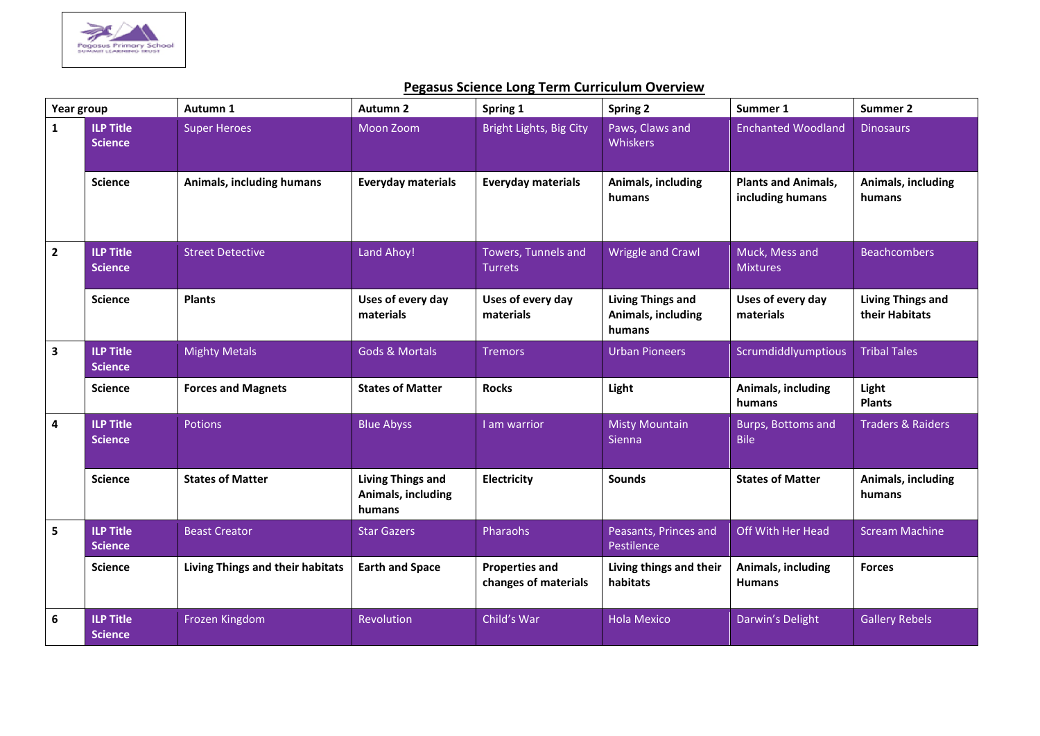

## **Pegasus Science Long Term Curriculum Overview**

| Year group              |                                    | Autumn 1                                | <b>Autumn 2</b>                                          | Spring 1                                      | <b>Spring 2</b>                                          | Summer 1                                       | Summer 2                                   |
|-------------------------|------------------------------------|-----------------------------------------|----------------------------------------------------------|-----------------------------------------------|----------------------------------------------------------|------------------------------------------------|--------------------------------------------|
| $\mathbf{1}$            | <b>ILP Title</b><br><b>Science</b> | <b>Super Heroes</b>                     | Moon Zoom                                                | Bright Lights, Big City                       | Paws, Claws and<br>Whiskers                              | <b>Enchanted Woodland</b>                      | <b>Dinosaurs</b>                           |
|                         | <b>Science</b>                     | Animals, including humans               | <b>Everyday materials</b>                                | <b>Everyday materials</b>                     | Animals, including<br>humans                             | <b>Plants and Animals,</b><br>including humans | Animals, including<br>humans               |
| $\overline{\mathbf{2}}$ | <b>ILP Title</b><br><b>Science</b> | <b>Street Detective</b>                 | Land Ahoy!                                               | Towers, Tunnels and<br><b>Turrets</b>         | <b>Wriggle and Crawl</b>                                 | Muck, Mess and<br><b>Mixtures</b>              | <b>Beachcombers</b>                        |
|                         | <b>Science</b>                     | <b>Plants</b>                           | Uses of every day<br>materials                           | Uses of every day<br>materials                | <b>Living Things and</b><br>Animals, including<br>humans | Uses of every day<br>materials                 | <b>Living Things and</b><br>their Habitats |
| $\overline{\mathbf{3}}$ | <b>ILP Title</b><br><b>Science</b> | <b>Mighty Metals</b>                    | <b>Gods &amp; Mortals</b>                                | <b>Tremors</b>                                | <b>Urban Pioneers</b>                                    | Scrumdiddlyumptious                            | <b>Tribal Tales</b>                        |
|                         | <b>Science</b>                     | <b>Forces and Magnets</b>               | <b>States of Matter</b>                                  | <b>Rocks</b>                                  | Light                                                    | Animals, including<br>humans                   | Light<br><b>Plants</b>                     |
| $\pmb{4}$               | <b>ILP Title</b><br><b>Science</b> | Potions                                 | <b>Blue Abyss</b>                                        | I am warrior                                  | <b>Misty Mountain</b><br><b>Sienna</b>                   | Burps, Bottoms and<br><b>Bile</b>              | <b>Traders &amp; Raiders</b>               |
|                         | <b>Science</b>                     | <b>States of Matter</b>                 | <b>Living Things and</b><br>Animals, including<br>humans | Electricity                                   | <b>Sounds</b>                                            | <b>States of Matter</b>                        | Animals, including<br>humans               |
| 5                       | <b>ILP Title</b><br><b>Science</b> | <b>Beast Creator</b>                    | <b>Star Gazers</b>                                       | Pharaohs                                      | Peasants, Princes and<br>Pestilence                      | Off With Her Head                              | <b>Scream Machine</b>                      |
|                         | <b>Science</b>                     | <b>Living Things and their habitats</b> | <b>Earth and Space</b>                                   | <b>Properties and</b><br>changes of materials | Living things and their<br>habitats                      | Animals, including<br><b>Humans</b>            | <b>Forces</b>                              |
| 6                       | <b>ILP Title</b><br><b>Science</b> | Frozen Kingdom                          | Revolution                                               | Child's War                                   | <b>Hola Mexico</b>                                       | Darwin's Delight                               | <b>Gallery Rebels</b>                      |